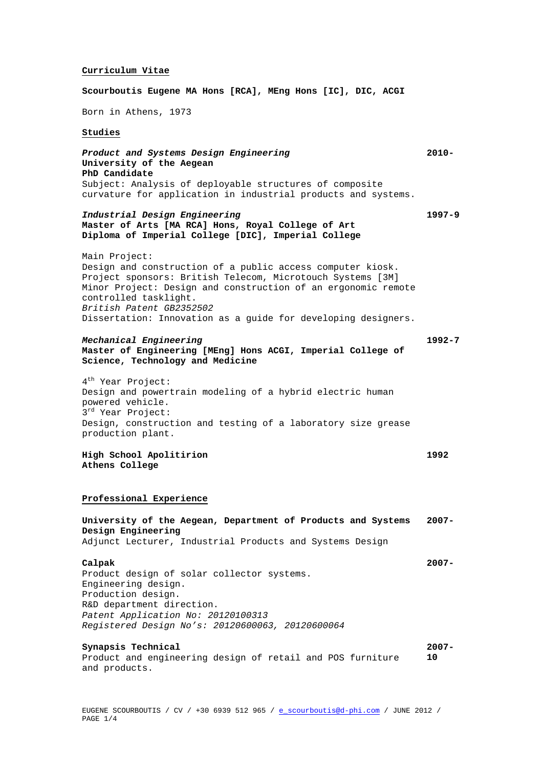### **Curriculum Vitae**

**Scourboutis Eugene MA Hons [RCA], MEng Hons [IC], DIC, ACGI**

Born in Athens, 1973

### **Studies**

*Product and Systems Design Engineering* **University of the Aegean PhD Candidate**  Subject: Analysis of deployable structures of composite curvature for application in industrial products and systems. **2010-**

**1997-9**

**1992-7**

**1992**

**2007-**

**2007-**

*Industrial Design Engineering*  **Master of Arts [MA RCA] Hons, Royal College of Art Diploma of Imperial College [DIC], Imperial College** 

Main Project: Design and construction of a public access computer kiosk. Project sponsors: British Telecom, Microtouch Systems [3M] Minor Project: Design and construction of an ergonomic remote controlled tasklight. *British Patent GB2352502* Dissertation: Innovation as a guide for developing designers.

# *Mechanical Engineering*

# **Master of Engineering [MEng] Hons ACGI, Imperial College of Science, Technology and Medicine**

4<sup>th</sup> Year Project: Design and powertrain modeling of a hybrid electric human powered vehicle. 3rd Year Project: Design, construction and testing of a laboratory size grease production plant.

**High School Apolitirion Athens College**

### **Professional Experience**

#### **University of the Aegean, Department of Products and Systems Design Engineering** Adjunct Lecturer, Industrial Products and Systems Design **2007-**

## **Calpak**

Product design of solar collector systems. Engineering design. Production design. R&D department direction. *Patent Application No: 20120100313 Registered Design No's: 20120600063, 20120600064*

### **Synapsis Technical**

Product and engineering design of retail and POS furniture and products. **10**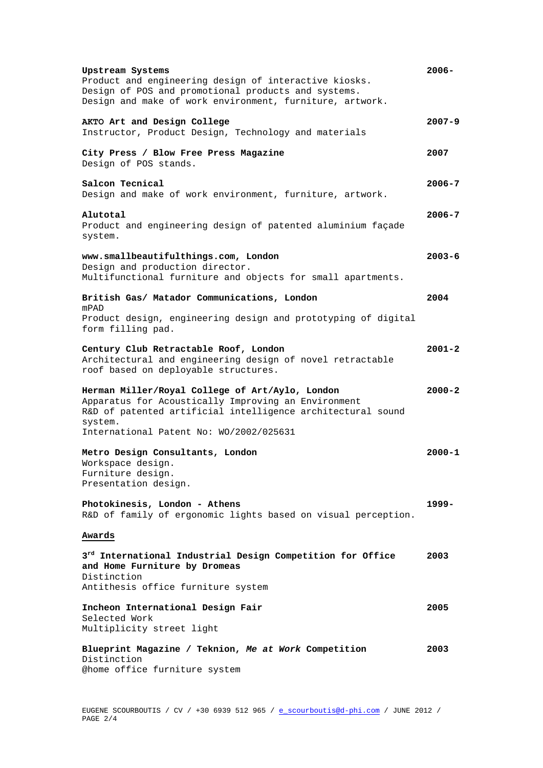| Upstream Systems<br>Product and engineering design of interactive kiosks.<br>Design of POS and promotional products and systems.<br>Design and make of work environment, furniture, artwork. | $2006 -$   |
|----------------------------------------------------------------------------------------------------------------------------------------------------------------------------------------------|------------|
| AKTO Art and Design College<br>Instructor, Product Design, Technology and materials                                                                                                          | $2007 - 9$ |
| City Press / Blow Free Press Magazine<br>Design of POS stands.                                                                                                                               | 2007       |
| Salcon Tecnical<br>Design and make of work environment, furniture, artwork.                                                                                                                  | 2006-7     |
| Alutotal<br>Product and engineering design of patented aluminium façade<br>system.                                                                                                           | 2006-7     |
| www.smallbeautifulthings.com, London<br>Design and production director.<br>Multifunctional furniture and objects for small apartments.                                                       | $2003 - 6$ |
| British Gas/ Matador Communications, London<br>mPAD<br>Product design, engineering design and prototyping of digital<br>form filling pad.                                                    | 2004       |
| Century Club Retractable Roof, London<br>Architectural and engineering design of novel retractable<br>roof based on deployable structures.                                                   | $2001 - 2$ |
| Herman Miller/Royal College of Art/Aylo, London<br>Apparatus for Acoustically Improving an Environment<br>R&D of patented artificial intelligence architectural sound<br>system.             | $2000 - 2$ |
| International Patent No: WO/2002/025631<br>Metro Design Consultants, London<br>Workspace design.<br>Furniture design.<br>Presentation design.                                                | 2000-1     |
| Photokinesis, London - Athens<br>R&D of family of ergonomic lights based on visual perception.                                                                                               | 1999–      |
| Awards                                                                                                                                                                                       |            |
| 3 <sup>rd</sup> International Industrial Design Competition for Office<br>and Home Furniture by Dromeas<br>Distinction<br>Antithesis office furniture system                                 | 2003       |
| Incheon International Design Fair<br>Selected Work<br>Multiplicity street light                                                                                                              | 2005       |
| Blueprint Magazine / Teknion, Me at Work Competition<br>Distinction<br>@home office furniture system                                                                                         | 2003       |

EUGENE SCOURBOUTIS / CV / +30 6939 512 965 / <u>e\_scourboutis@d-phi.com</u> / JUNE 2012 / PAGE 2/4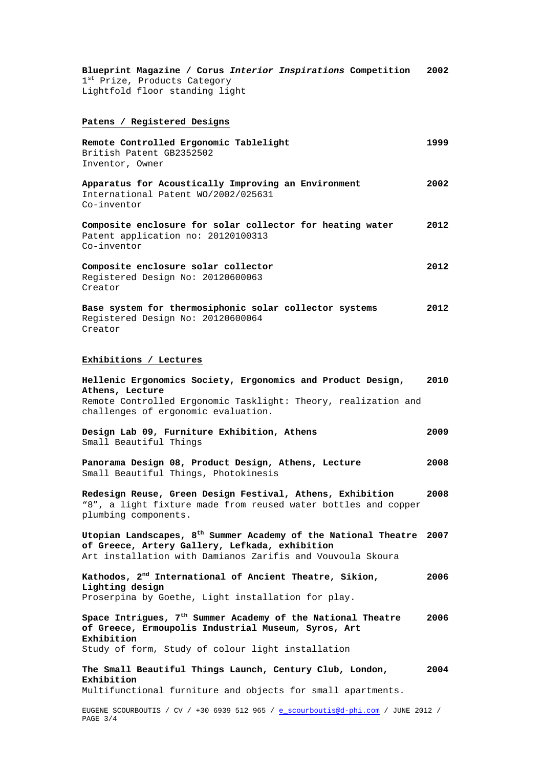**Blueprint Magazine / Corus** *Interior Inspirations* **Competition 2002**  $1^{\text{st}}$  Prize, Products Category Lightfold floor standing light

# **Patens / Registered Designs**

| Remote Controlled Ergonomic Tablelight<br>British Patent GB2352502<br>Inventor, Owner                                                                                                      | 1999 |
|--------------------------------------------------------------------------------------------------------------------------------------------------------------------------------------------|------|
| Apparatus for Acoustically Improving an Environment<br>International Patent WO/2002/025631<br>Co-inventor                                                                                  | 2002 |
| Composite enclosure for solar collector for heating water<br>Patent application no: 20120100313<br>Co-inventor                                                                             | 2012 |
| Composite enclosure solar collector<br>Registered Design No: 20120600063<br>Creator                                                                                                        | 2012 |
| Base system for thermosiphonic solar collector systems<br>Registered Design No: 20120600064<br>Creator                                                                                     | 2012 |
| Exhibitions / Lectures                                                                                                                                                                     |      |
| Hellenic Ergonomics Society, Ergonomics and Product Design,<br>Athens, Lecture<br>Remote Controlled Ergonomic Tasklight: Theory, realization and<br>challenges of ergonomic evaluation.    | 2010 |
| Design Lab 09, Furniture Exhibition, Athens<br>Small Beautiful Things                                                                                                                      | 2009 |
| Panorama Design 08, Product Design, Athens, Lecture<br>Small Beautiful Things, Photokinesis                                                                                                | 2008 |
| Redesign Reuse, Green Design Festival, Athens, Exhibition<br>"8", a light fixture made from reused water bottles and copper<br>plumbing components.                                        | 2008 |
| Utopian Landscapes, $8^{\text{th}}$ Summer Academy of the National Theatre<br>of Greece, Artery Gallery, Lefkada, exhibition<br>Art installation with Damianos Zarifis and Vouvoula Skoura | 2007 |
| Kathodos, $2nd$ International of Ancient Theatre, Sikion,<br>Lighting design<br>Proserpina by Goethe, Light installation for play.                                                         | 2006 |
| Space Intrigues, $7th$ Summer Academy of the National Theatre                                                                                                                              | 2006 |

**of Greece, Ermoupolis Industrial Museum, Syros, Art Exhibition** Study of form, Study of colour light installation

**The Small Beautiful Things Launch, Century Club, London, Exhibition 2004**

Multifunctional furniture and objects for small apartments.

EUGENE SCOURBOUTIS / CV / +30 6939 512 965 / [e\\_scourboutis@d-phi.com](mailto:e_scourboutis@d-phi.com) / JUNE 2012 / PAGE 3/4